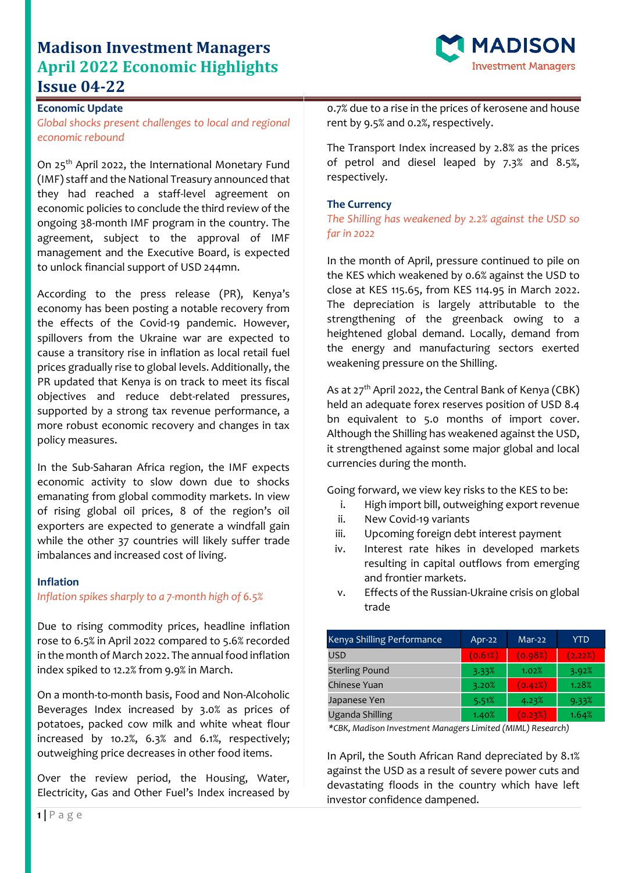## **Madison Investment Managers April 2022 Economic Highlights Issue 04-22**



### **Economic Update**

*Global shocks present challenges to local and regional economic rebound*

On 25<sup>th</sup> April 2022, the International Monetary Fund (IMF) staff and the National Treasury announced that they had reached a staff-level agreement on economic policies to conclude the third review of the ongoing 38-month IMF program in the country. The agreement, subject to the approval of IMF management and the Executive Board, is expected to unlock financial support of USD 244mn.

According to the press release (PR), Kenya's economy has been posting a notable recovery from the effects of the Covid-19 pandemic. However, spillovers from the Ukraine war are expected to cause a transitory rise in inflation as local retail fuel prices gradually rise to global levels. Additionally, the PR updated that Kenya is on track to meet its fiscal objectives and reduce debt-related pressures, supported by a strong tax revenue performance, a more robust economic recovery and changes in tax policy measures.

In the Sub-Saharan Africa region, the IMF expects economic activity to slow down due to shocks emanating from global commodity markets. In view of rising global oil prices, 8 of the region's oil exporters are expected to generate a windfall gain while the other 37 countries will likely suffer trade imbalances and increased cost of living.

#### **Inflation**

## *Inflation spikes sharply to a 7-month high of 6.5%*

Due to rising commodity prices, headline inflation rose to 6.5% in April 2022 compared to 5.6% recorded in the month of March 2022. The annual food inflation index spiked to 12.2% from 9.9% in March.

On a month-to-month basis, Food and Non-Alcoholic Beverages Index increased by 3.0% as prices of potatoes, packed cow milk and white wheat flour increased by 1o.2%, 6.3% and 6.1%, respectively; outweighing price decreases in other food items.

Over the review period, the Housing, Water, Electricity, Gas and Other Fuel's Index increased by 0.7% due to a rise in the prices of kerosene and house rent by 9.5% and 0.2%, respectively.

The Transport Index increased by 2.8% as the prices of petrol and diesel leaped by 7.3% and 8.5%, respectively.

#### **The Currency**

*The Shilling has weakened by 2.2% against the USD so far in 2022*

In the month of April, pressure continued to pile on the KES which weakened by 0.6% against the USD to close at KES 115.65, from KES 114.95 in March 2022. The depreciation is largely attributable to the strengthening of the greenback owing to a heightened global demand. Locally, demand from the energy and manufacturing sectors exerted weakening pressure on the Shilling.

As at  $27<sup>th</sup>$  April 2022, the Central Bank of Kenya (CBK) held an adequate forex reserves position of USD 8.4 bn equivalent to 5.0 months of import cover. Although the Shilling has weakened against the USD, it strengthened against some major global and local currencies during the month.

Going forward, we view key risks to the KES to be:

- i. High import bill, outweighing export revenue
- ii. New Covid-19 variants
- iii. Upcoming foreign debt interest payment
- iv. Interest rate hikes in developed markets resulting in capital outflows from emerging and frontier markets.
- v. Effects of the Russian-Ukraine crisis on global trade

| Kenya Shilling Performance | Apr-22  | Mar-22  | YTD     |
|----------------------------|---------|---------|---------|
| <b>USD</b>                 | (0.61%) | (0.98%) | (2.22%) |
| <b>Sterling Pound</b>      | 3.33%   | 1.02%   | 3.92%   |
| Chinese Yuan               | 3.20%   | (0.42%) | 1.28%   |
| Japanese Yen               | 5.51%   | 4.23%   | 9.33%   |
| Uganda Shilling            | 1.40%   | (0.23%) | 1.64%   |

*\*CBK, Madison Investment Managers Limited (MIML) Research)*

In April, the South African Rand depreciated by 8.1% against the USD as a result of severe power cuts and devastating floods in the country which have left investor confidence dampened.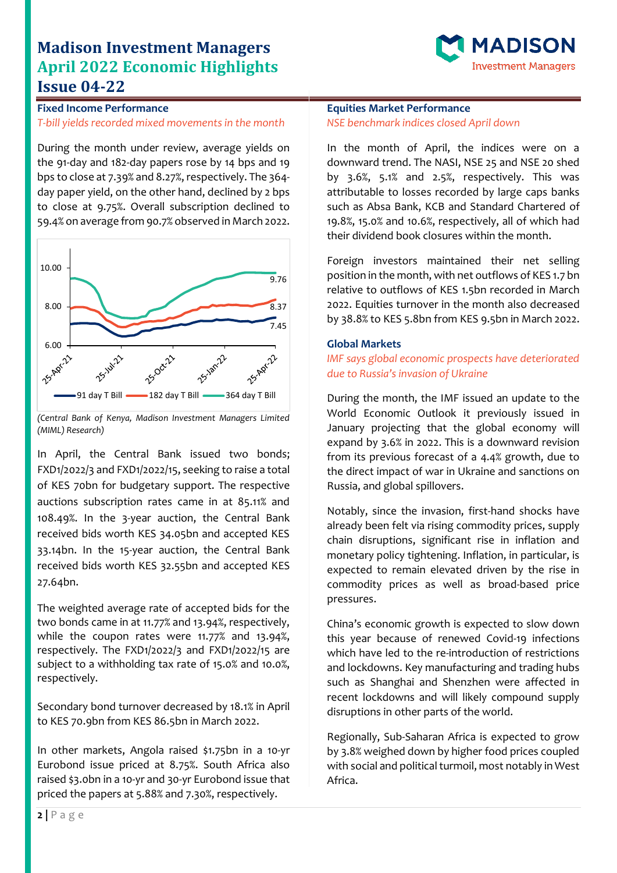# **Madison Investment Managers April 2022 Economic Highlights Issue 04-22**



**Fixed Income Performance** *T-bill yields recorded mixed movements in the month*

During the month under review, average yields on the 91-day and 182-day papers rose by 14 bps and 19 bps to close at 7.39% and 8.27%, respectively. The 364 day paper yield, on the other hand, declined by 2 bps to close at 9.75%. Overall subscription declined to 59.4% on average from 90.7% observed in March 2022.



*<sup>(</sup>Central Bank of Kenya, Madison Investment Managers Limited (MIML) Research)*

In April, the Central Bank issued two bonds; FXD1/2022/3 and FXD1/2022/15, seeking to raise a total of KES 70bn for budgetary support. The respective auctions subscription rates came in at 85.11% and 108.49%. In the 3-year auction, the Central Bank received bids worth KES 34.05bn and accepted KES 33.14bn. In the 15-year auction, the Central Bank received bids worth KES 32.55bn and accepted KES 27.64bn.

The weighted average rate of accepted bids for the two bonds came in at 11.77% and 13.94%, respectively, while the coupon rates were 11.77% and 13.94%, respectively. The FXD1/2022/3 and FXD1/2022/15 are subject to a withholding tax rate of 15.0% and 10.0%, respectively.

Secondary bond turnover decreased by 18.1% in April to KES 70.9bn from KES 86.5bn in March 2022.

In other markets, Angola raised \$1.75bn in a 10-yr Eurobond issue priced at 8.75%. South Africa also raised \$3.0bn in a 10-yr and 30-yr Eurobond issue that priced the papers at 5.88% and 7.30%, respectively.

### **Equities Market Performance** *NSE benchmark indices closed April down*

In the month of April, the indices were on a downward trend. The NASI, NSE 25 and NSE 20 shed by 3.6%, 5.1% and 2.5%, respectively. This was attributable to losses recorded by large caps banks such as Absa Bank, KCB and Standard Chartered of 19.8%, 15.0% and 10.6%, respectively, all of which had their dividend book closures within the month.

Foreign investors maintained their net selling position in the month, with net outflows of KES 1.7 bn relative to outflows of KES 1.5bn recorded in March 2022. Equities turnover in the month also decreased by 38.8% to KES 5.8bn from KES 9.5bn in March 2022.

### **Global Markets**

*IMF says global economic prospects have deteriorated due to Russia's invasion of Ukraine*

During the month, the IMF issued an update to the World Economic Outlook it previously issued in January projecting that the global economy will expand by 3.6% in 2022. This is a downward revision from its previous forecast of a 4.4% growth, due to the direct impact of war in Ukraine and sanctions on Russia, and global spillovers.

Notably, since the invasion, first-hand shocks have already been felt via rising commodity prices, supply chain disruptions, significant rise in inflation and monetary policy tightening. Inflation, in particular, is expected to remain elevated driven by the rise in commodity prices as well as broad-based price pressures.

China's economic growth is expected to slow down this year because of renewed Covid-19 infections which have led to the re-introduction of restrictions and lockdowns. Key manufacturing and trading hubs such as Shanghai and Shenzhen were affected in recent lockdowns and will likely compound supply disruptions in other parts of the world.

Regionally, Sub-Saharan Africa is expected to grow by 3.8% weighed down by higher food prices coupled with social and political turmoil, most notably in West Africa.